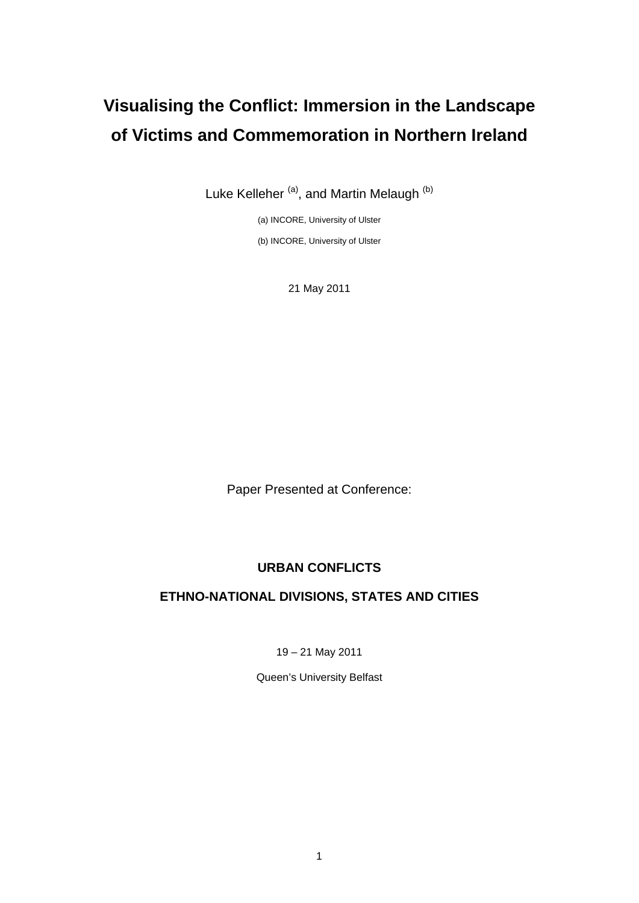# **Visualising the Conflict: Immersion in the Landscape of Victims and Commemoration in Northern Ireland**

Luke Kelleher<sup>(a)</sup>, and Martin Melaugh<sup>(b)</sup>

(a) INCORE, University of Ulster (b) INCORE, University of Ulster

21 May 2011

Paper Presented at Conference:

# **URBAN CONFLICTS**

# **ETHNO-NATIONAL DIVISIONS, STATES AND CITIES**

19 – 21 May 2011

Queen's University Belfast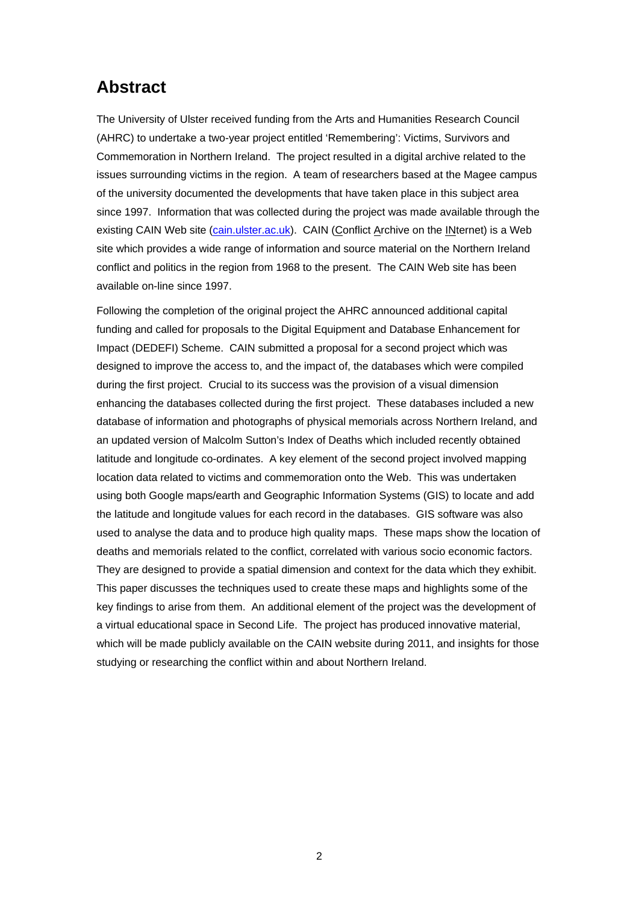# **Abstract**

The University of Ulster received funding from the Arts and Humanities Research Council (AHRC) to undertake a two-year project entitled 'Remembering': Victims, Survivors and Commemoration in Northern Ireland. The project resulted in a digital archive related to the issues surrounding victims in the region. A team of researchers based at the Magee campus of the university documented the developments that have taken place in this subject area since 1997. Information that was collected during the project was made available through the existing CAIN Web site [\(cain.ulster.ac.uk\)](http://cain.ulster.ac.uk/index.html). CAIN (Conflict Archive on the INternet) is a Web site which provides a wide range of information and source material on the Northern Ireland conflict and politics in the region from 1968 to the present. The CAIN Web site has been available on-line since 1997.

Following the completion of the original project the AHRC announced additional capital funding and called for proposals to the Digital Equipment and Database Enhancement for Impact (DEDEFI) Scheme. CAIN submitted a proposal for a second project which was designed to improve the access to, and the impact of, the databases which were compiled during the first project. Crucial to its success was the provision of a visual dimension enhancing the databases collected during the first project. These databases included a new database of information and photographs of physical memorials across Northern Ireland, and an updated version of Malcolm Sutton's Index of Deaths which included recently obtained latitude and longitude co-ordinates. A key element of the second project involved mapping location data related to victims and commemoration onto the Web. This was undertaken using both Google maps/earth and Geographic Information Systems (GIS) to locate and add the latitude and longitude values for each record in the databases. GIS software was also used to analyse the data and to produce high quality maps. These maps show the location of deaths and memorials related to the conflict, correlated with various socio economic factors. They are designed to provide a spatial dimension and context for the data which they exhibit. This paper discusses the techniques used to create these maps and highlights some of the key findings to arise from them. An additional element of the project was the development of a virtual educational space in Second Life. The project has produced innovative material, which will be made publicly available on the CAIN website during 2011, and insights for those studying or researching the conflict within and about Northern Ireland.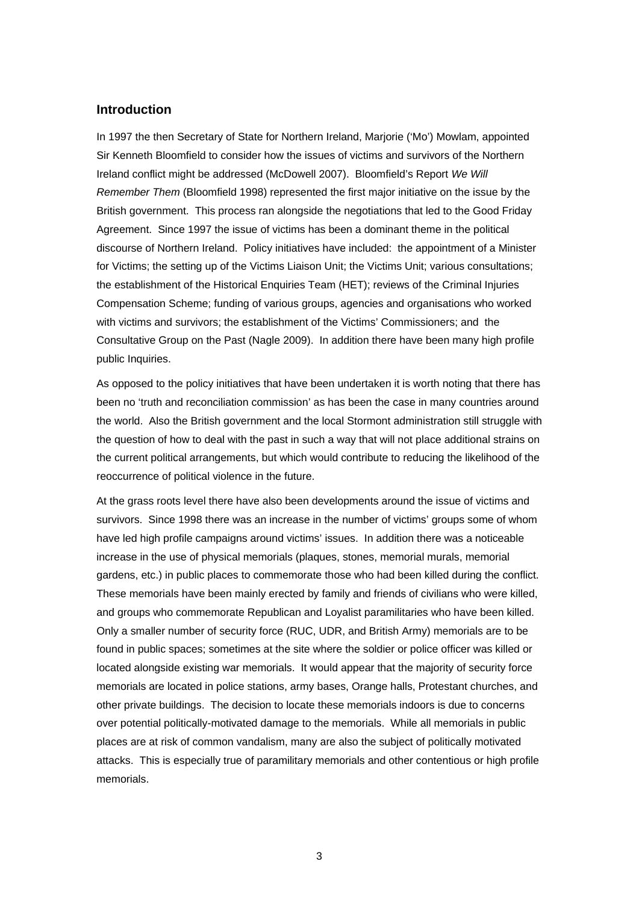### **Introduction**

In 1997 the then Secretary of State for Northern Ireland, Marjorie ('Mo') Mowlam, appointed Sir Kenneth Bloomfield to consider how the issues of victims and survivors of the Northern Ireland conflict might be addressed (McDowell 2007). Bloomfield's Report *We Will Remember Them* (Bloomfield 1998) represented the first major initiative on the issue by the British government. This process ran alongside the negotiations that led to the Good Friday Agreement. Since 1997 the issue of victims has been a dominant theme in the political discourse of Northern Ireland. Policy initiatives have included: the appointment of a Minister for Victims; the setting up of the Victims Liaison Unit; the Victims Unit; various consultations; the establishment of the Historical Enquiries Team (HET); reviews of the Criminal Injuries Compensation Scheme; funding of various groups, agencies and organisations who worked with victims and survivors; the establishment of the Victims' Commissioners; and the Consultative Group on the Past (Nagle 2009). In addition there have been many high profile public Inquiries.

As opposed to the policy initiatives that have been undertaken it is worth noting that there has been no 'truth and reconciliation commission' as has been the case in many countries around the world. Also the British government and the local Stormont administration still struggle with the question of how to deal with the past in such a way that will not place additional strains on the current political arrangements, but which would contribute to reducing the likelihood of the reoccurrence of political violence in the future.

At the grass roots level there have also been developments around the issue of victims and survivors. Since 1998 there was an increase in the number of victims' groups some of whom have led high profile campaigns around victims' issues. In addition there was a noticeable increase in the use of physical memorials (plaques, stones, memorial murals, memorial gardens, etc.) in public places to commemorate those who had been killed during the conflict. These memorials have been mainly erected by family and friends of civilians who were killed, and groups who commemorate Republican and Loyalist paramilitaries who have been killed. Only a smaller number of security force (RUC, UDR, and British Army) memorials are to be found in public spaces; sometimes at the site where the soldier or police officer was killed or located alongside existing war memorials. It would appear that the majority of security force memorials are located in police stations, army bases, Orange halls, Protestant churches, and other private buildings. The decision to locate these memorials indoors is due to concerns over potential politically-motivated damage to the memorials. While all memorials in public places are at risk of common vandalism, many are also the subject of politically motivated attacks. This is especially true of paramilitary memorials and other contentious or high profile memorials.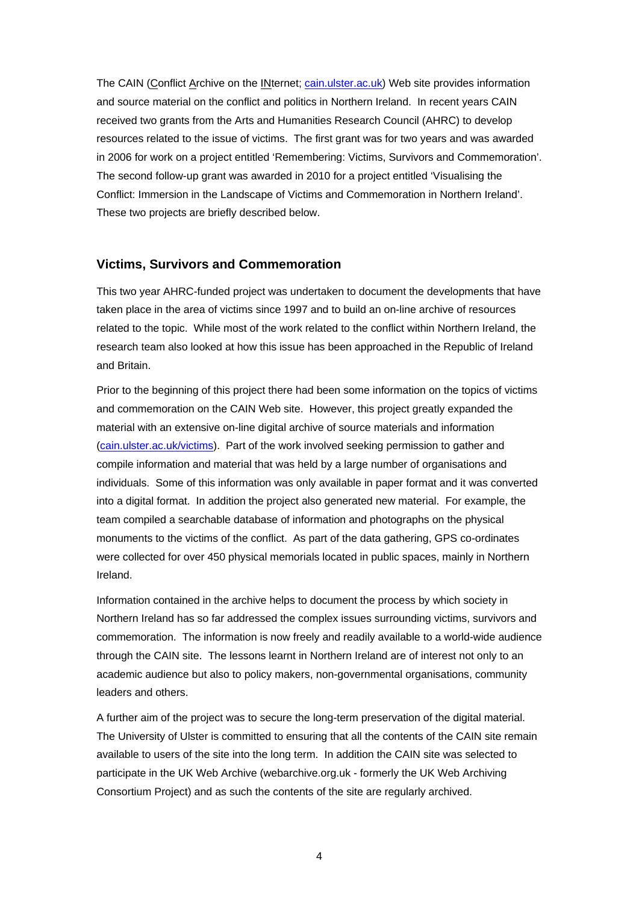The CAIN (Conflict Archive on the INternet; [cain.ulster.ac.uk](http://cain.ulster.ac.uk/)) Web site provides information and source material on the conflict and politics in Northern Ireland. In recent years CAIN received two grants from the Arts and Humanities Research Council (AHRC) to develop resources related to the issue of victims. The first grant was for two years and was awarded in 2006 for work on a project entitled 'Remembering: Victims, Survivors and Commemoration'. The second follow-up grant was awarded in 2010 for a project entitled 'Visualising the Conflict: Immersion in the Landscape of Victims and Commemoration in Northern Ireland'. These two projects are briefly described below.

#### **Victims, Survivors and Commemoration**

This two year AHRC-funded project was undertaken to document the developments that have taken place in the area of victims since 1997 and to build an on-line archive of resources related to the topic. While most of the work related to the conflict within Northern Ireland, the research team also looked at how this issue has been approached in the Republic of Ireland and Britain.

Prior to the beginning of this project there had been some information on the topics of victims and commemoration on the CAIN Web site. However, this project greatly expanded the material with an extensive on-line digital archive of source materials and information [\(cain.ulster.ac.uk/victims\)](http://cain.ulster.ac.uk/victims). Part of the work involved seeking permission to gather and compile information and material that was held by a large number of organisations and individuals. Some of this information was only available in paper format and it was converted into a digital format. In addition the project also generated new material. For example, the team compiled a searchable database of information and photographs on the physical monuments to the victims of the conflict. As part of the data gathering, GPS co-ordinates were collected for over 450 physical memorials located in public spaces, mainly in Northern Ireland.

Information contained in the archive helps to document the process by which society in Northern Ireland has so far addressed the complex issues surrounding victims, survivors and commemoration. The information is now freely and readily available to a world-wide audience through the CAIN site. The lessons learnt in Northern Ireland are of interest not only to an academic audience but also to policy makers, non-governmental organisations, community leaders and others.

A further aim of the project was to secure the long-term preservation of the digital material. The University of Ulster is committed to ensuring that all the contents of the CAIN site remain available to users of the site into the long term. In addition the CAIN site was selected to participate in the UK Web Archive (webarchive.org.uk - formerly the UK Web Archiving Consortium Project) and as such the contents of the site are regularly archived.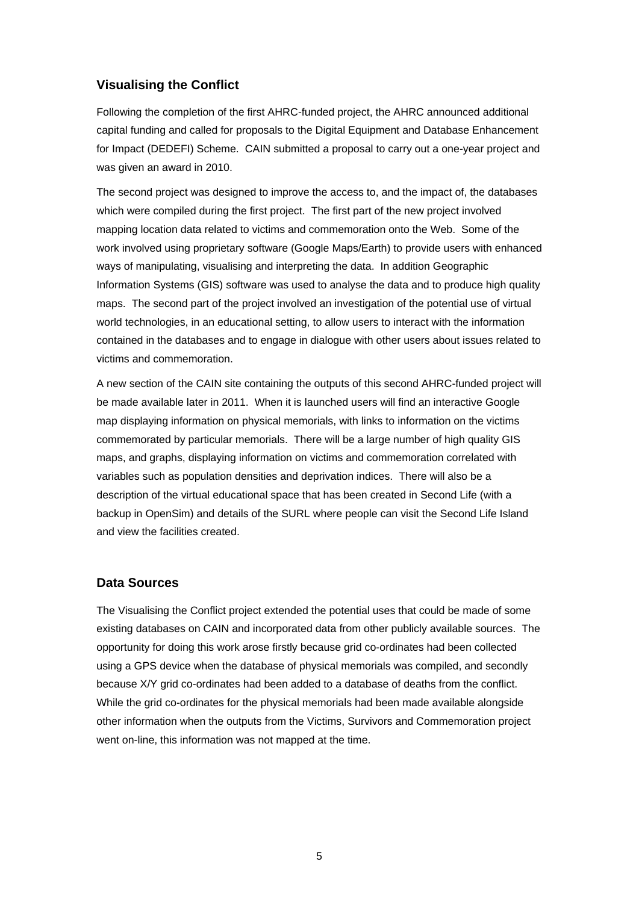# **Visualising the Conflict**

Following the completion of the first AHRC-funded project, the AHRC announced additional capital funding and called for proposals to the Digital Equipment and Database Enhancement for Impact (DEDEFI) Scheme. CAIN submitted a proposal to carry out a one-year project and was given an award in 2010.

The second project was designed to improve the access to, and the impact of, the databases which were compiled during the first project. The first part of the new project involved mapping location data related to victims and commemoration onto the Web. Some of the work involved using proprietary software (Google Maps/Earth) to provide users with enhanced ways of manipulating, visualising and interpreting the data. In addition Geographic Information Systems (GIS) software was used to analyse the data and to produce high quality maps. The second part of the project involved an investigation of the potential use of virtual world technologies, in an educational setting, to allow users to interact with the information contained in the databases and to engage in dialogue with other users about issues related to victims and commemoration.

A new section of the CAIN site containing the outputs of this second AHRC-funded project will be made available later in 2011. When it is launched users will find an interactive Google map displaying information on physical memorials, with links to information on the victims commemorated by particular memorials. There will be a large number of high quality GIS maps, and graphs, displaying information on victims and commemoration correlated with variables such as population densities and deprivation indices. There will also be a description of the virtual educational space that has been created in Second Life (with a backup in OpenSim) and details of the SURL where people can visit the Second Life Island and view the facilities created.

## **Data Sources**

The Visualising the Conflict project extended the potential uses that could be made of some existing databases on CAIN and incorporated data from other publicly available sources. The opportunity for doing this work arose firstly because grid co-ordinates had been collected using a GPS device when the database of physical memorials was compiled, and secondly because X/Y grid co-ordinates had been added to a database of deaths from the conflict. While the grid co-ordinates for the physical memorials had been made available alongside other information when the outputs from the Victims, Survivors and Commemoration project went on-line, this information was not mapped at the time.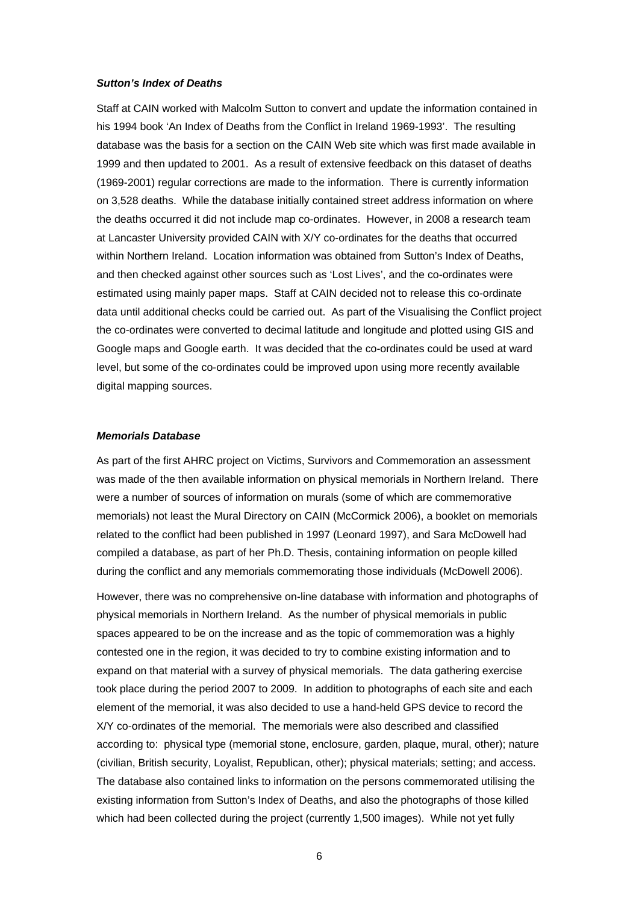#### *Sutton's Index of Deaths*

Staff at CAIN worked with Malcolm Sutton to convert and update the information contained in his 1994 book 'An Index of Deaths from the Conflict in Ireland 1969-1993'. The resulting database was the basis for a section on the CAIN Web site which was first made available in 1999 and then updated to 2001. As a result of extensive feedback on this dataset of deaths (1969-2001) regular corrections are made to the information. There is currently information on 3,528 deaths. While the database initially contained street address information on where the deaths occurred it did not include map co-ordinates. However, in 2008 a research team at Lancaster University provided CAIN with X/Y co-ordinates for the deaths that occurred within Northern Ireland. Location information was obtained from Sutton's Index of Deaths, and then checked against other sources such as 'Lost Lives', and the co-ordinates were estimated using mainly paper maps. Staff at CAIN decided not to release this co-ordinate data until additional checks could be carried out. As part of the Visualising the Conflict project the co-ordinates were converted to decimal latitude and longitude and plotted using GIS and Google maps and Google earth. It was decided that the co-ordinates could be used at ward level, but some of the co-ordinates could be improved upon using more recently available digital mapping sources.

#### *Memorials Database*

As part of the first AHRC project on Victims, Survivors and Commemoration an assessment was made of the then available information on physical memorials in Northern Ireland. There were a number of sources of information on murals (some of which are commemorative memorials) not least the Mural Directory on CAIN (McCormick 2006), a booklet on memorials related to the conflict had been published in 1997 (Leonard 1997), and Sara McDowell had compiled a database, as part of her Ph.D. Thesis, containing information on people killed during the conflict and any memorials commemorating those individuals (McDowell 2006).

However, there was no comprehensive on-line database with information and photographs of physical memorials in Northern Ireland. As the number of physical memorials in public spaces appeared to be on the increase and as the topic of commemoration was a highly contested one in the region, it was decided to try to combine existing information and to expand on that material with a survey of physical memorials. The data gathering exercise took place during the period 2007 to 2009. In addition to photographs of each site and each element of the memorial, it was also decided to use a hand-held GPS device to record the X/Y co-ordinates of the memorial. The memorials were also described and classified according to: physical type (memorial stone, enclosure, garden, plaque, mural, other); nature (civilian, British security, Loyalist, Republican, other); physical materials; setting; and access. The database also contained links to information on the persons commemorated utilising the existing information from Sutton's Index of Deaths, and also the photographs of those killed which had been collected during the project (currently 1,500 images). While not yet fully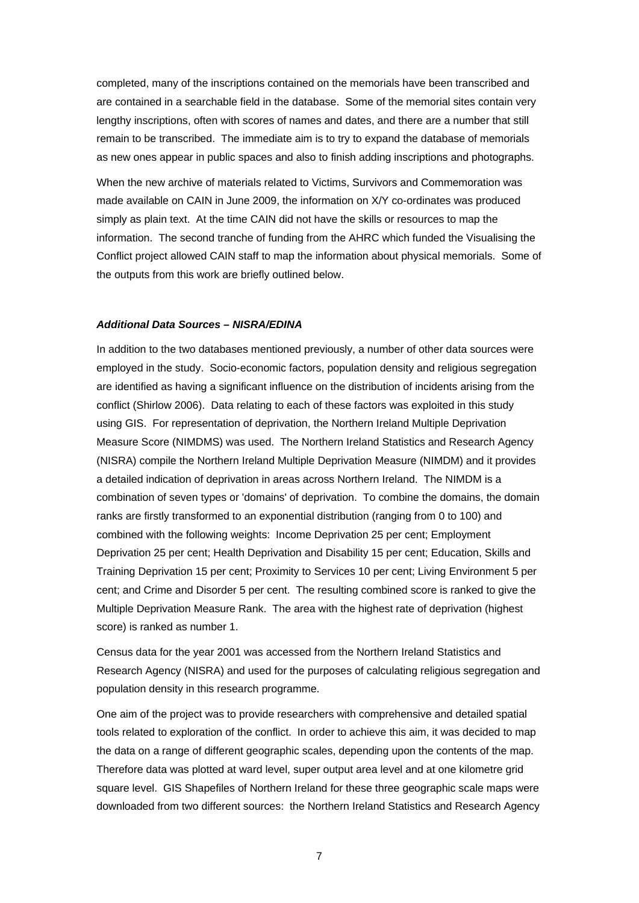completed, many of the inscriptions contained on the memorials have been transcribed and are contained in a searchable field in the database. Some of the memorial sites contain very lengthy inscriptions, often with scores of names and dates, and there are a number that still remain to be transcribed. The immediate aim is to try to expand the database of memorials as new ones appear in public spaces and also to finish adding inscriptions and photographs.

When the new archive of materials related to Victims, Survivors and Commemoration was made available on CAIN in June 2009, the information on X/Y co-ordinates was produced simply as plain text. At the time CAIN did not have the skills or resources to map the information. The second tranche of funding from the AHRC which funded the Visualising the Conflict project allowed CAIN staff to map the information about physical memorials. Some of the outputs from this work are briefly outlined below.

#### *Additional Data Sources – NISRA/EDINA*

In addition to the two databases mentioned previously, a number of other data sources were employed in the study. Socio-economic factors, population density and religious segregation are identified as having a significant influence on the distribution of incidents arising from the conflict (Shirlow 2006). Data relating to each of these factors was exploited in this study using GIS. For representation of deprivation, the Northern Ireland Multiple Deprivation Measure Score (NIMDMS) was used. The Northern Ireland Statistics and Research Agency (NISRA) compile the Northern Ireland Multiple Deprivation Measure (NIMDM) and it provides a detailed indication of deprivation in areas across Northern Ireland. The NIMDM is a combination of seven types or 'domains' of deprivation. To combine the domains, the domain ranks are firstly transformed to an exponential distribution (ranging from 0 to 100) and combined with the following weights: Income Deprivation 25 per cent; Employment Deprivation 25 per cent; Health Deprivation and Disability 15 per cent; Education, Skills and Training Deprivation 15 per cent; Proximity to Services 10 per cent; Living Environment 5 per cent; and Crime and Disorder 5 per cent. The resulting combined score is ranked to give the Multiple Deprivation Measure Rank. The area with the highest rate of deprivation (highest score) is ranked as number 1.

Census data for the year 2001 was accessed from the Northern Ireland Statistics and Research Agency (NISRA) and used for the purposes of calculating religious segregation and population density in this research programme.

One aim of the project was to provide researchers with comprehensive and detailed spatial tools related to exploration of the conflict. In order to achieve this aim, it was decided to map the data on a range of different geographic scales, depending upon the contents of the map. Therefore data was plotted at ward level, super output area level and at one kilometre grid square level. GIS Shapefiles of Northern Ireland for these three geographic scale maps were downloaded from two different sources: the Northern Ireland Statistics and Research Agency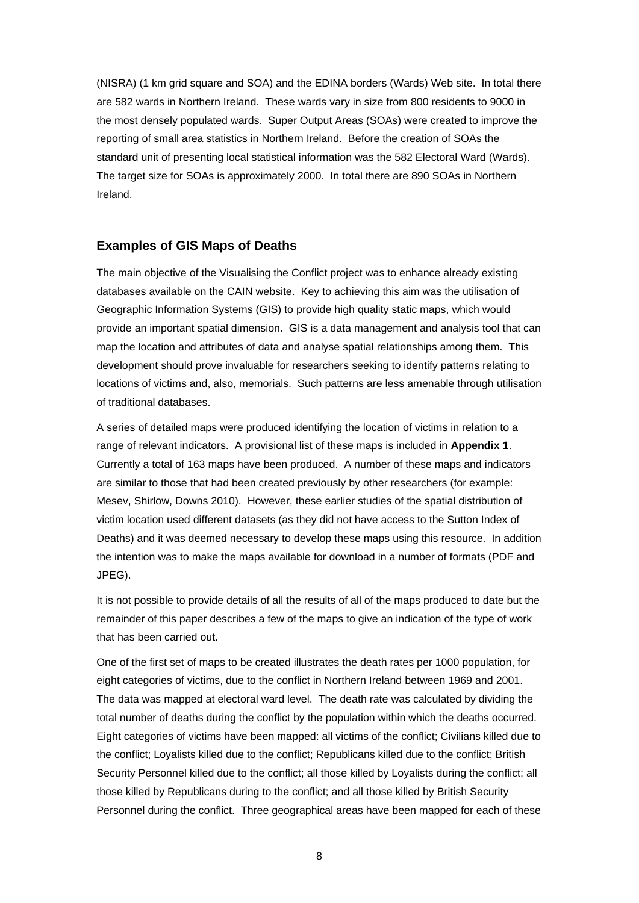(NISRA) (1 km grid square and SOA) and the EDINA borders (Wards) Web site. In total there are 582 wards in Northern Ireland. These wards vary in size from 800 residents to 9000 in the most densely populated wards. Super Output Areas (SOAs) were created to improve the reporting of small area statistics in Northern Ireland. Before the creation of SOAs the standard unit of presenting local statistical information was the 582 Electoral Ward (Wards). The target size for SOAs is approximately 2000. In total there are 890 SOAs in Northern Ireland.

#### **Examples of GIS Maps of Deaths**

The main objective of the Visualising the Conflict project was to enhance already existing databases available on the CAIN website. Key to achieving this aim was the utilisation of Geographic Information Systems (GIS) to provide high quality static maps, which would provide an important spatial dimension. GIS is a data management and analysis tool that can map the location and attributes of data and analyse spatial relationships among them. This development should prove invaluable for researchers seeking to identify patterns relating to locations of victims and, also, memorials. Such patterns are less amenable through utilisation of traditional databases.

A series of detailed maps were produced identifying the location of victims in relation to a range of relevant indicators. A provisional list of these maps is included in **Appendix 1**. Currently a total of 163 maps have been produced. A number of these maps and indicators are similar to those that had been created previously by other researchers (for example: Mesev, Shirlow, Downs 2010). However, these earlier studies of the spatial distribution of victim location used different datasets (as they did not have access to the Sutton Index of Deaths) and it was deemed necessary to develop these maps using this resource. In addition the intention was to make the maps available for download in a number of formats (PDF and JPEG).

It is not possible to provide details of all the results of all of the maps produced to date but the remainder of this paper describes a few of the maps to give an indication of the type of work that has been carried out.

One of the first set of maps to be created illustrates the death rates per 1000 population, for eight categories of victims, due to the conflict in Northern Ireland between 1969 and 2001. The data was mapped at electoral ward level. The death rate was calculated by dividing the total number of deaths during the conflict by the population within which the deaths occurred. Eight categories of victims have been mapped: all victims of the conflict; Civilians killed due to the conflict; Loyalists killed due to the conflict; Republicans killed due to the conflict; British Security Personnel killed due to the conflict; all those killed by Loyalists during the conflict; all those killed by Republicans during to the conflict; and all those killed by British Security Personnel during the conflict. Three geographical areas have been mapped for each of these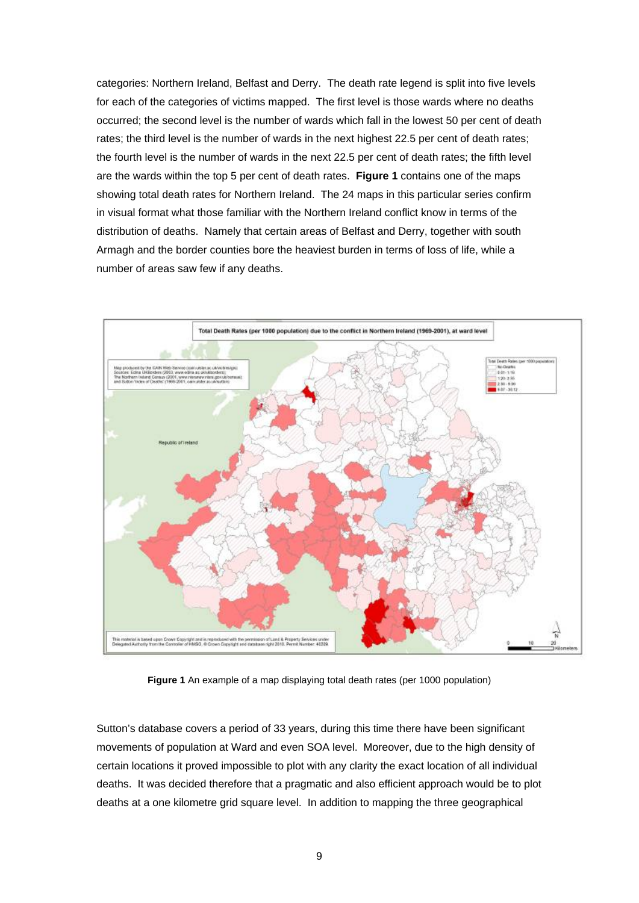categories: Northern Ireland, Belfast and Derry. The death rate legend is split into five levels for each of the categories of victims mapped. The first level is those wards where no deaths occurred; the second level is the number of wards which fall in the lowest 50 per cent of death rates; the third level is the number of wards in the next highest 22.5 per cent of death rates; the fourth level is the number of wards in the next 22.5 per cent of death rates; the fifth level are the wards within the top 5 per cent of death rates. **Figure 1** contains one of the maps showing total death rates for Northern Ireland. The 24 maps in this particular series confirm in visual format what those familiar with the Northern Ireland conflict know in terms of the distribution of deaths. Namely that certain areas of Belfast and Derry, together with south Armagh and the border counties bore the heaviest burden in terms of loss of life, while a number of areas saw few if any deaths.



**Figure 1** An example of a map displaying total death rates (per 1000 population)

Sutton's database covers a period of 33 years, during this time there have been significant movements of population at Ward and even SOA level. Moreover, due to the high density of certain locations it proved impossible to plot with any clarity the exact location of all individual deaths. It was decided therefore that a pragmatic and also efficient approach would be to plot deaths at a one kilometre grid square level. In addition to mapping the three geographical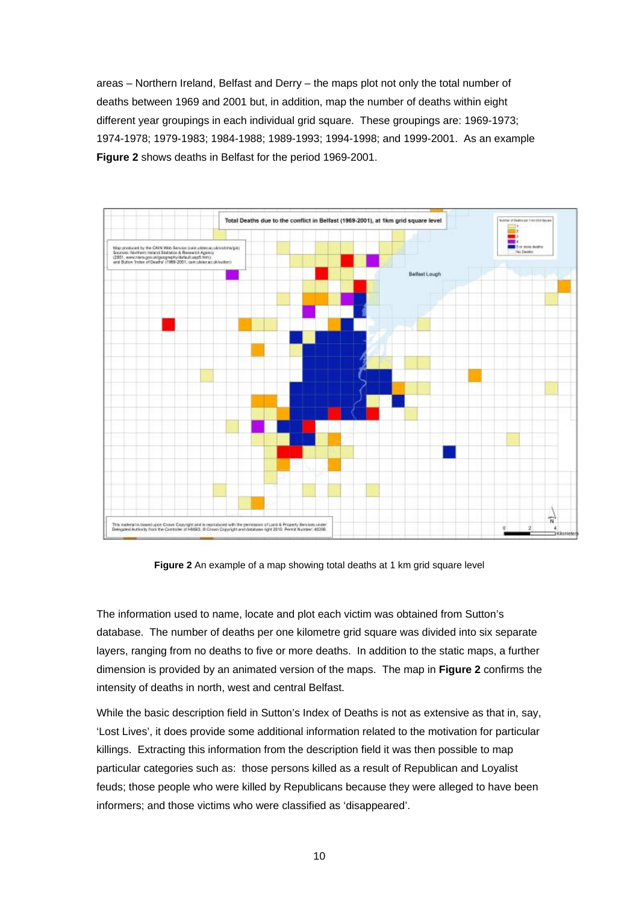areas – Northern Ireland, Belfast and Derry – the maps plot not only the total number of deaths between 1969 and 2001 but, in addition, map the number of deaths within eight different year groupings in each individual grid square. These groupings are: 1969-1973; 1974-1978; 1979-1983; 1984-1988; 1989-1993; 1994-1998; and 1999-2001. As an example **Figure 2** shows deaths in Belfast for the period 1969-2001.



**Figure 2** An example of a map showing total deaths at 1 km grid square level

The information used to name, locate and plot each victim was obtained from Sutton's database. The number of deaths per one kilometre grid square was divided into six separate layers, ranging from no deaths to five or more deaths. In addition to the static maps, a further dimension is provided by an animated version of the maps. The map in **Figure 2** confirms the intensity of deaths in north, west and central Belfast.

While the basic description field in Sutton's Index of Deaths is not as extensive as that in, say, 'Lost Lives', it does provide some additional information related to the motivation for particular killings. Extracting this information from the description field it was then possible to map particular categories such as: those persons killed as a result of Republican and Loyalist feuds; those people who were killed by Republicans because they were alleged to have been informers; and those victims who were classified as 'disappeared'.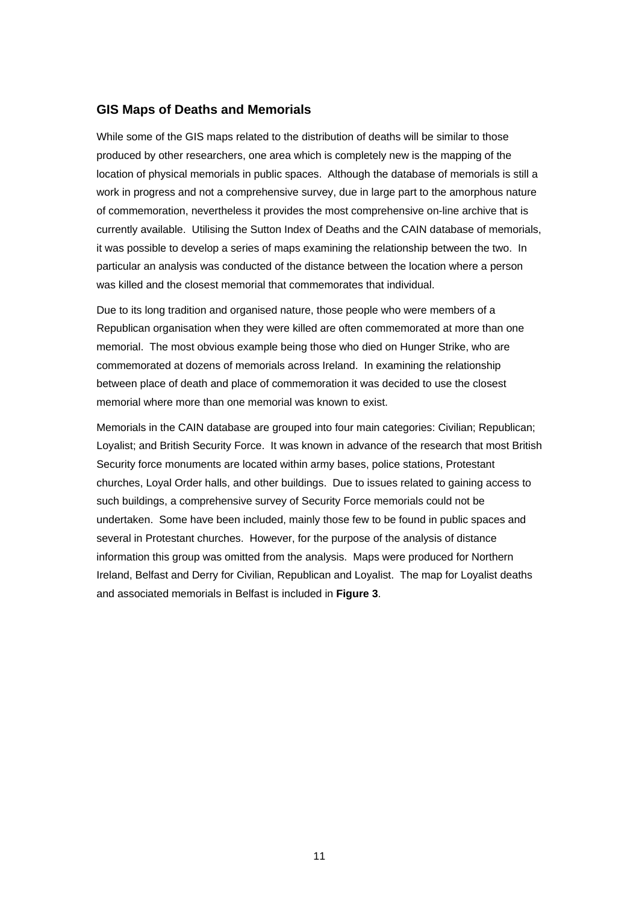#### **GIS Maps of Deaths and Memorials**

While some of the GIS maps related to the distribution of deaths will be similar to those produced by other researchers, one area which is completely new is the mapping of the location of physical memorials in public spaces. Although the database of memorials is still a work in progress and not a comprehensive survey, due in large part to the amorphous nature of commemoration, nevertheless it provides the most comprehensive on-line archive that is currently available. Utilising the Sutton Index of Deaths and the CAIN database of memorials, it was possible to develop a series of maps examining the relationship between the two. In particular an analysis was conducted of the distance between the location where a person was killed and the closest memorial that commemorates that individual.

Due to its long tradition and organised nature, those people who were members of a Republican organisation when they were killed are often commemorated at more than one memorial. The most obvious example being those who died on Hunger Strike, who are commemorated at dozens of memorials across Ireland. In examining the relationship between place of death and place of commemoration it was decided to use the closest memorial where more than one memorial was known to exist.

Memorials in the CAIN database are grouped into four main categories: Civilian; Republican; Loyalist; and British Security Force. It was known in advance of the research that most British Security force monuments are located within army bases, police stations, Protestant churches, Loyal Order halls, and other buildings. Due to issues related to gaining access to such buildings, a comprehensive survey of Security Force memorials could not be undertaken. Some have been included, mainly those few to be found in public spaces and several in Protestant churches. However, for the purpose of the analysis of distance information this group was omitted from the analysis. Maps were produced for Northern Ireland, Belfast and Derry for Civilian, Republican and Loyalist. The map for Loyalist deaths and associated memorials in Belfast is included in **Figure 3**.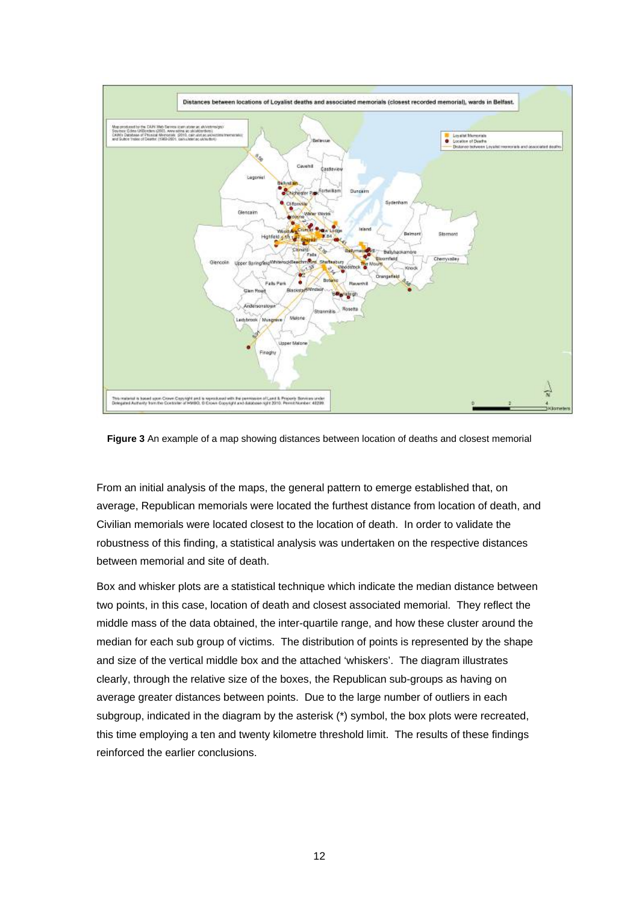

**Figure 3** An example of a map showing distances between location of deaths and closest memorial

From an initial analysis of the maps, the general pattern to emerge established that, on average, Republican memorials were located the furthest distance from location of death, and Civilian memorials were located closest to the location of death. In order to validate the robustness of this finding, a statistical analysis was undertaken on the respective distances between memorial and site of death.

Box and whisker plots are a statistical technique which indicate the median distance between two points, in this case, location of death and closest associated memorial. They reflect the middle mass of the data obtained, the inter-quartile range, and how these cluster around the median for each sub group of victims. The distribution of points is represented by the shape and size of the vertical middle box and the attached 'whiskers'. The diagram illustrates clearly, through the relative size of the boxes, the Republican sub-groups as having on average greater distances between points. Due to the large number of outliers in each subgroup, indicated in the diagram by the asterisk (\*) symbol, the box plots were recreated, this time employing a ten and twenty kilometre threshold limit. The results of these findings reinforced the earlier conclusions.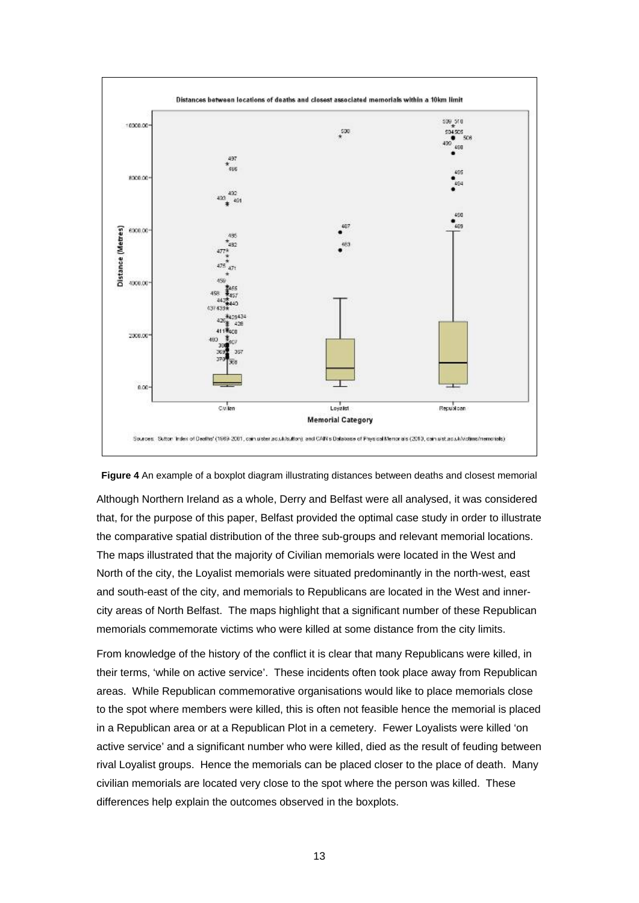

#### **Figure 4** An example of a boxplot diagram illustrating distances between deaths and closest memorial

Although Northern Ireland as a whole, Derry and Belfast were all analysed, it was considered that, for the purpose of this paper, Belfast provided the optimal case study in order to illustrate the comparative spatial distribution of the three sub-groups and relevant memorial locations. The maps illustrated that the majority of Civilian memorials were located in the West and North of the city, the Loyalist memorials were situated predominantly in the north-west, east and south-east of the city, and memorials to Republicans are located in the West and innercity areas of North Belfast. The maps highlight that a significant number of these Republican memorials commemorate victims who were killed at some distance from the city limits.

From knowledge of the history of the conflict it is clear that many Republicans were killed, in their terms, 'while on active service'. These incidents often took place away from Republican areas. While Republican commemorative organisations would like to place memorials close to the spot where members were killed, this is often not feasible hence the memorial is placed in a Republican area or at a Republican Plot in a cemetery. Fewer Loyalists were killed 'on active service' and a significant number who were killed, died as the result of feuding between rival Loyalist groups. Hence the memorials can be placed closer to the place of death. Many civilian memorials are located very close to the spot where the person was killed. These differences help explain the outcomes observed in the boxplots.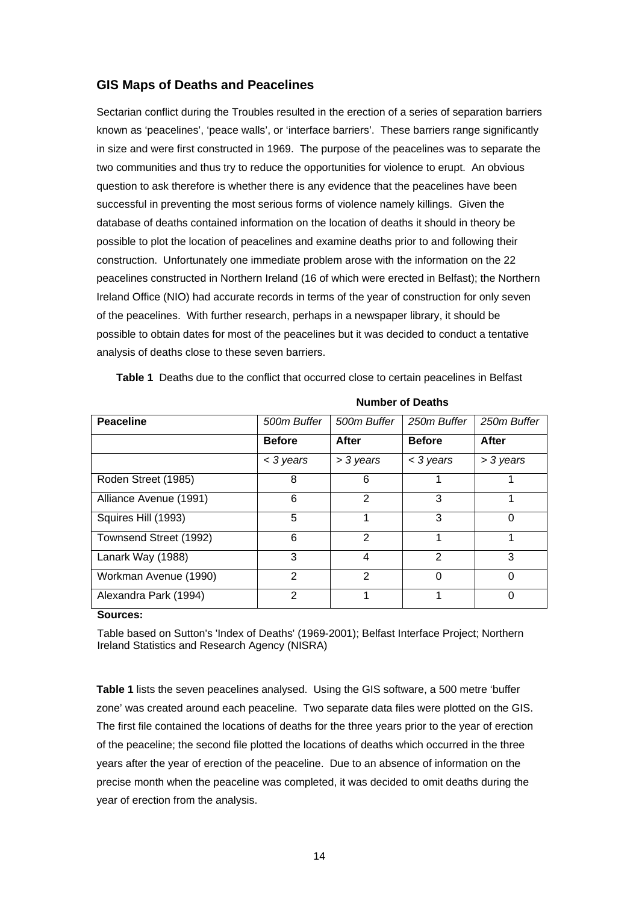## **GIS Maps of Deaths and Peacelines**

Sectarian conflict during the Troubles resulted in the erection of a series of separation barriers known as 'peacelines', 'peace walls', or 'interface barriers'. These barriers range significantly in size and were first constructed in 1969. The purpose of the peacelines was to separate the two communities and thus try to reduce the opportunities for violence to erupt. An obvious question to ask therefore is whether there is any evidence that the peacelines have been successful in preventing the most serious forms of violence namely killings. Given the database of deaths contained information on the location of deaths it should in theory be possible to plot the location of peacelines and examine deaths prior to and following their construction. Unfortunately one immediate problem arose with the information on the 22 peacelines constructed in Northern Ireland (16 of which were erected in Belfast); the Northern Ireland Office (NIO) had accurate records in terms of the year of construction for only seven of the peacelines. With further research, perhaps in a newspaper library, it should be possible to obtain dates for most of the peacelines but it was decided to conduct a tentative analysis of deaths close to these seven barriers.

**Table 1** Deaths due to the conflict that occurred close to certain peacelines in Belfast

| <b>Peaceline</b>       | 500m Buffer   | 500m Buffer | 250m Buffer   | 250m Buffer |
|------------------------|---------------|-------------|---------------|-------------|
|                        | <b>Before</b> | After       | <b>Before</b> | After       |
|                        | < 3 years     | > 3 years   | < 3 years     | > 3 years   |
| Roden Street (1985)    | 8             | 6           |               |             |
| Alliance Avenue (1991) | 6             | 2           | 3             |             |
| Squires Hill (1993)    | 5             |             | 3             | $\Omega$    |
| Townsend Street (1992) | 6             | 2           |               |             |
| Lanark Way (1988)      | 3             | 4           | $\mathcal{P}$ | 3           |
| Workman Avenue (1990)  | $\mathcal{P}$ | 2           | ∩             | $\Omega$    |
| Alexandra Park (1994)  | 2             |             |               |             |

**Number of Deaths** 

#### **Sources:**

Table based on Sutton's 'Index of Deaths' (1969-2001); Belfast Interface Project; Northern Ireland Statistics and Research Agency (NISRA)

**Table 1** lists the seven peacelines analysed. Using the GIS software, a 500 metre 'buffer zone' was created around each peaceline. Two separate data files were plotted on the GIS. The first file contained the locations of deaths for the three years prior to the year of erection of the peaceline; the second file plotted the locations of deaths which occurred in the three years after the year of erection of the peaceline. Due to an absence of information on the precise month when the peaceline was completed, it was decided to omit deaths during the year of erection from the analysis.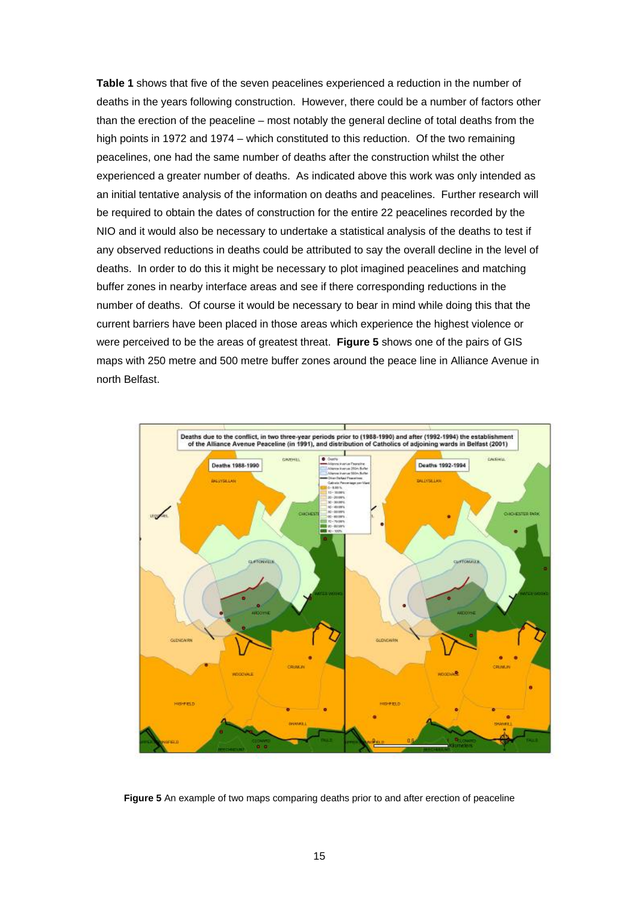**Table 1** shows that five of the seven peacelines experienced a reduction in the number of deaths in the years following construction. However, there could be a number of factors other than the erection of the peaceline – most notably the general decline of total deaths from the high points in 1972 and 1974 – which constituted to this reduction. Of the two remaining peacelines, one had the same number of deaths after the construction whilst the other experienced a greater number of deaths. As indicated above this work was only intended as an initial tentative analysis of the information on deaths and peacelines. Further research will be required to obtain the dates of construction for the entire 22 peacelines recorded by the NIO and it would also be necessary to undertake a statistical analysis of the deaths to test if any observed reductions in deaths could be attributed to say the overall decline in the level of deaths. In order to do this it might be necessary to plot imagined peacelines and matching buffer zones in nearby interface areas and see if there corresponding reductions in the number of deaths. Of course it would be necessary to bear in mind while doing this that the current barriers have been placed in those areas which experience the highest violence or were perceived to be the areas of greatest threat. **Figure 5** shows one of the pairs of GIS maps with 250 metre and 500 metre buffer zones around the peace line in Alliance Avenue in north Belfast.



**Figure 5** An example of two maps comparing deaths prior to and after erection of peaceline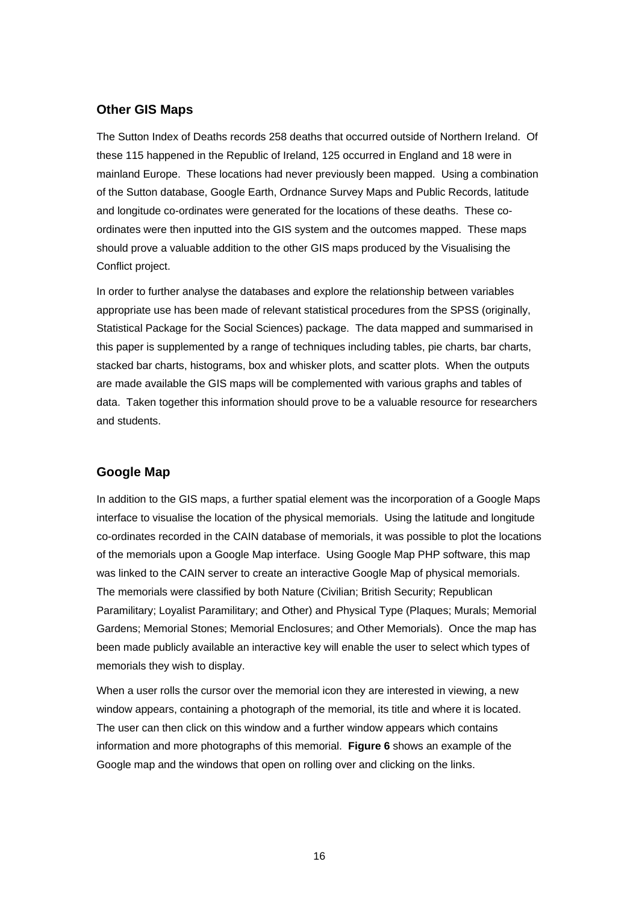## **Other GIS Maps**

The Sutton Index of Deaths records 258 deaths that occurred outside of Northern Ireland. Of these 115 happened in the Republic of Ireland, 125 occurred in England and 18 were in mainland Europe. These locations had never previously been mapped. Using a combination of the Sutton database, Google Earth, Ordnance Survey Maps and Public Records, latitude and longitude co-ordinates were generated for the locations of these deaths. These coordinates were then inputted into the GIS system and the outcomes mapped. These maps should prove a valuable addition to the other GIS maps produced by the Visualising the Conflict project.

In order to further analyse the databases and explore the relationship between variables appropriate use has been made of relevant statistical procedures from the SPSS (originally, Statistical Package for the Social Sciences) package. The data mapped and summarised in this paper is supplemented by a range of techniques including tables, pie charts, bar charts, stacked bar charts, histograms, box and whisker plots, and scatter plots. When the outputs are made available the GIS maps will be complemented with various graphs and tables of data. Taken together this information should prove to be a valuable resource for researchers and students.

### **Google Map**

In addition to the GIS maps, a further spatial element was the incorporation of a Google Maps interface to visualise the location of the physical memorials. Using the latitude and longitude co-ordinates recorded in the CAIN database of memorials, it was possible to plot the locations of the memorials upon a Google Map interface. Using Google Map PHP software, this map was linked to the CAIN server to create an interactive Google Map of physical memorials. The memorials were classified by both Nature (Civilian; British Security; Republican Paramilitary; Loyalist Paramilitary; and Other) and Physical Type (Plaques; Murals; Memorial Gardens; Memorial Stones; Memorial Enclosures; and Other Memorials). Once the map has been made publicly available an interactive key will enable the user to select which types of memorials they wish to display.

When a user rolls the cursor over the memorial icon they are interested in viewing, a new window appears, containing a photograph of the memorial, its title and where it is located. The user can then click on this window and a further window appears which contains information and more photographs of this memorial. **Figure 6** shows an example of the Google map and the windows that open on rolling over and clicking on the links.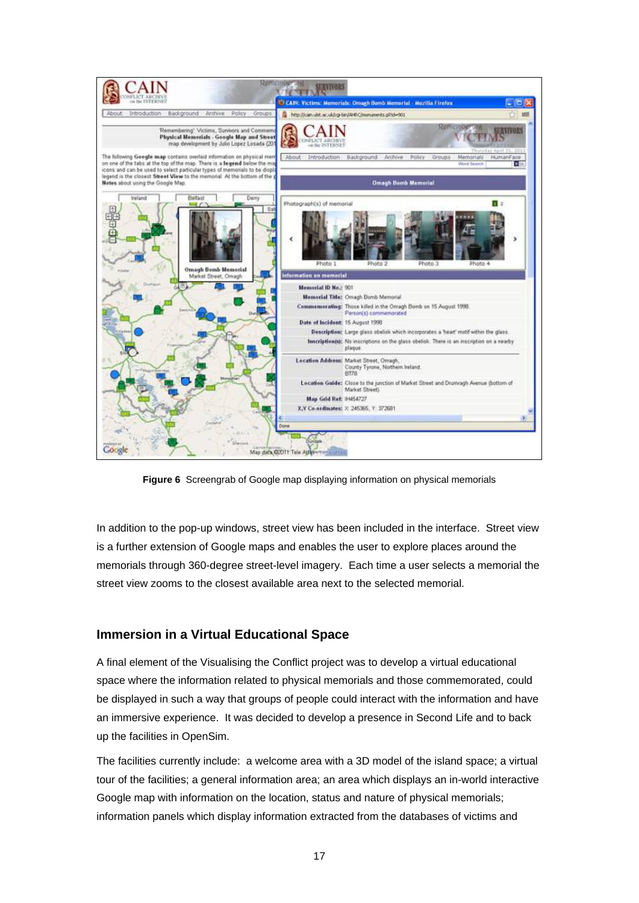

**Figure 6** Screengrab of Google map displaying information on physical memorials

In addition to the pop-up windows, street view has been included in the interface. Street view is a further extension of Google maps and enables the user to explore places around the memorials through 360-degree street-level imagery. Each time a user selects a memorial the street view zooms to the closest available area next to the selected memorial.

# **Immersion in a Virtual Educational Space**

A final element of the Visualising the Conflict project was to develop a virtual educational space where the information related to physical memorials and those commemorated, could be displayed in such a way that groups of people could interact with the information and have an immersive experience. It was decided to develop a presence in Second Life and to back up the facilities in OpenSim.

The facilities currently include: a welcome area with a 3D model of the island space; a virtual tour of the facilities; a general information area; an area which displays an in-world interactive Google map with information on the location, status and nature of physical memorials; information panels which display information extracted from the databases of victims and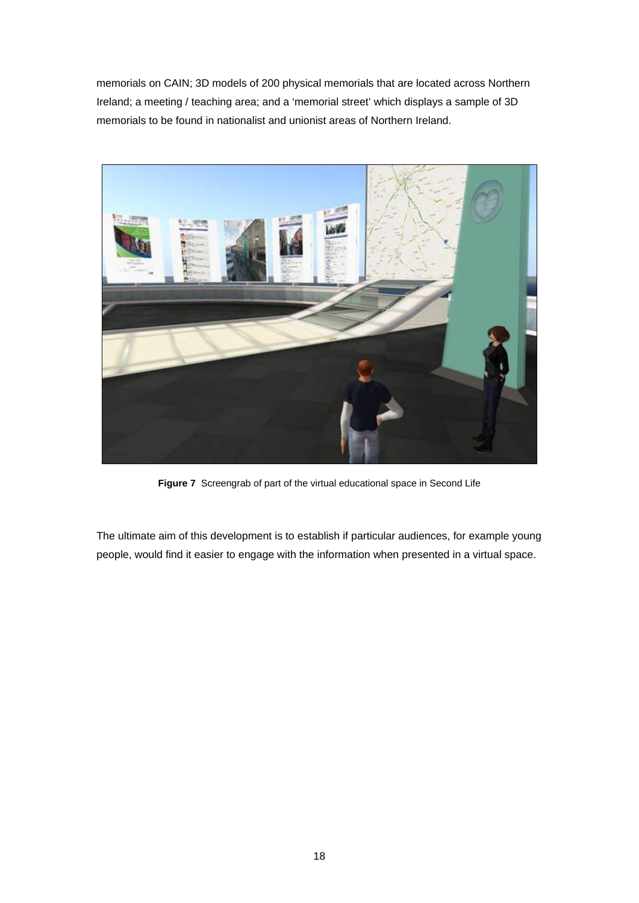memorials on CAIN; 3D models of 200 physical memorials that are located across Northern Ireland; a meeting / teaching area; and a 'memorial street' which displays a sample of 3D memorials to be found in nationalist and unionist areas of Northern Ireland.



**Figure 7** Screengrab of part of the virtual educational space in Second Life

The ultimate aim of this development is to establish if particular audiences, for example young people, would find it easier to engage with the information when presented in a virtual space.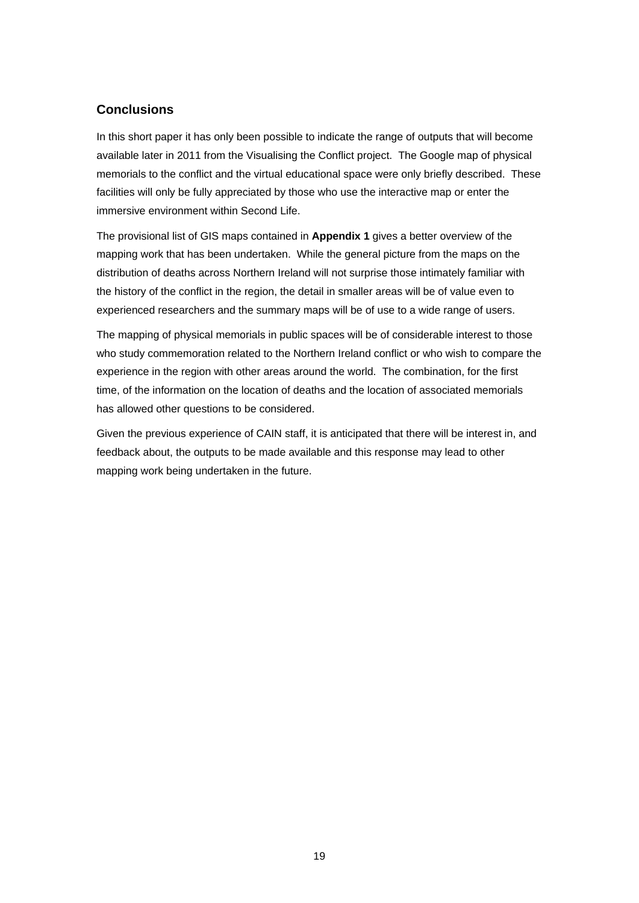# **Conclusions**

In this short paper it has only been possible to indicate the range of outputs that will become available later in 2011 from the Visualising the Conflict project. The Google map of physical memorials to the conflict and the virtual educational space were only briefly described. These facilities will only be fully appreciated by those who use the interactive map or enter the immersive environment within Second Life.

The provisional list of GIS maps contained in **Appendix 1** gives a better overview of the mapping work that has been undertaken. While the general picture from the maps on the distribution of deaths across Northern Ireland will not surprise those intimately familiar with the history of the conflict in the region, the detail in smaller areas will be of value even to experienced researchers and the summary maps will be of use to a wide range of users.

The mapping of physical memorials in public spaces will be of considerable interest to those who study commemoration related to the Northern Ireland conflict or who wish to compare the experience in the region with other areas around the world. The combination, for the first time, of the information on the location of deaths and the location of associated memorials has allowed other questions to be considered.

Given the previous experience of CAIN staff, it is anticipated that there will be interest in, and feedback about, the outputs to be made available and this response may lead to other mapping work being undertaken in the future.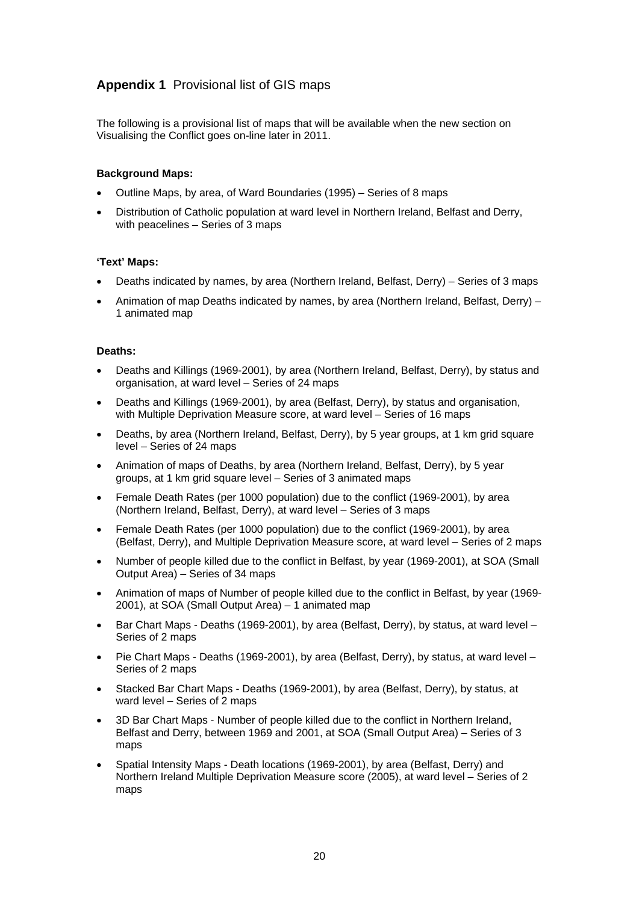# **Appendix 1** Provisional list of GIS maps

The following is a provisional list of maps that will be available when the new section on Visualising the Conflict goes on-line later in 2011.

#### **Background Maps:**

- Outline Maps, by area, of Ward Boundaries (1995) Series of 8 maps
- Distribution of Catholic population at ward level in Northern Ireland, Belfast and Derry, with peacelines – Series of 3 maps

#### **'Text' Maps:**

- Deaths indicated by names, by area (Northern Ireland, Belfast, Derry) Series of 3 maps
- Animation of map Deaths indicated by names, by area (Northern Ireland, Belfast, Derry) 1 animated map

#### **Deaths:**

- Deaths and Killings (1969-2001), by area (Northern Ireland, Belfast, Derry), by status and organisation, at ward level – Series of 24 maps
- Deaths and Killings (1969-2001), by area (Belfast, Derry), by status and organisation, with Multiple Deprivation Measure score, at ward level – Series of 16 maps
- Deaths, by area (Northern Ireland, Belfast, Derry), by 5 year groups, at 1 km grid square level – Series of 24 maps
- Animation of maps of Deaths, by area (Northern Ireland, Belfast, Derry), by 5 year groups, at 1 km grid square level – Series of 3 animated maps
- Female Death Rates (per 1000 population) due to the conflict (1969-2001), by area (Northern Ireland, Belfast, Derry), at ward level – Series of 3 maps
- Female Death Rates (per 1000 population) due to the conflict (1969-2001), by area (Belfast, Derry), and Multiple Deprivation Measure score, at ward level – Series of 2 maps
- Number of people killed due to the conflict in Belfast, by year (1969-2001), at SOA (Small Output Area) – Series of 34 maps
- Animation of maps of Number of people killed due to the conflict in Belfast, by year (1969- 2001), at SOA (Small Output Area) – 1 animated map
- Bar Chart Maps Deaths (1969-2001), by area (Belfast, Derry), by status, at ward level Series of 2 maps
- Pie Chart Maps Deaths (1969-2001), by area (Belfast, Derry), by status, at ward level Series of 2 maps
- Stacked Bar Chart Maps Deaths (1969-2001), by area (Belfast, Derry), by status, at ward level – Series of 2 maps
- 3D Bar Chart Maps Number of people killed due to the conflict in Northern Ireland, Belfast and Derry, between 1969 and 2001, at SOA (Small Output Area) – Series of 3 maps
- Spatial Intensity Maps Death locations (1969-2001), by area (Belfast, Derry) and Northern Ireland Multiple Deprivation Measure score (2005), at ward level – Series of 2 maps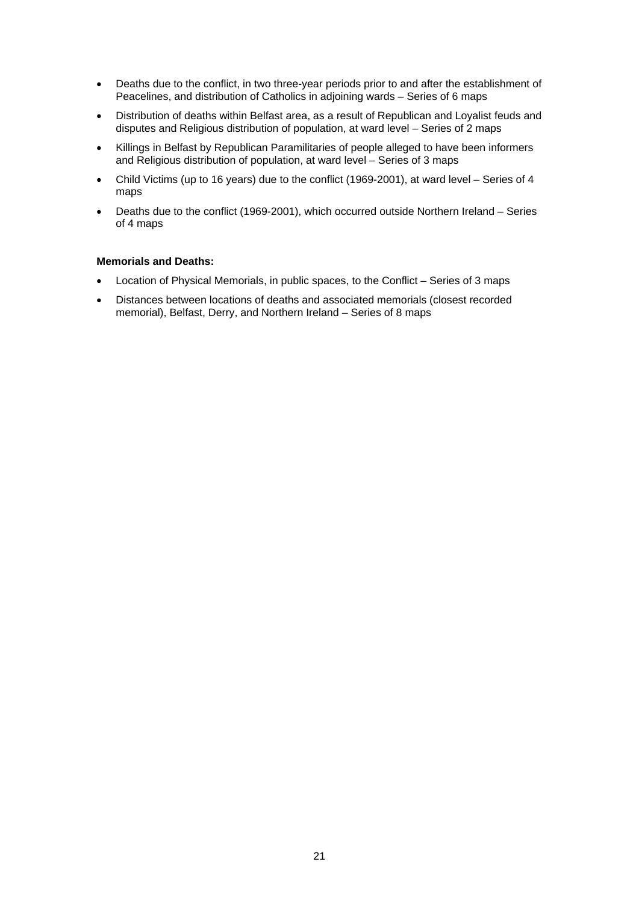- Deaths due to the conflict, in two three-year periods prior to and after the establishment of Peacelines, and distribution of Catholics in adjoining wards – Series of 6 maps
- Distribution of deaths within Belfast area, as a result of Republican and Loyalist feuds and disputes and Religious distribution of population, at ward level – Series of 2 maps
- Killings in Belfast by Republican Paramilitaries of people alleged to have been informers and Religious distribution of population, at ward level – Series of 3 maps
- Child Victims (up to 16 years) due to the conflict (1969-2001), at ward level Series of 4 maps
- Deaths due to the conflict (1969-2001), which occurred outside Northern Ireland Series of 4 maps

#### **Memorials and Deaths:**

- Location of Physical Memorials, in public spaces, to the Conflict Series of 3 maps
- Distances between locations of deaths and associated memorials (closest recorded memorial), Belfast, Derry, and Northern Ireland – Series of 8 maps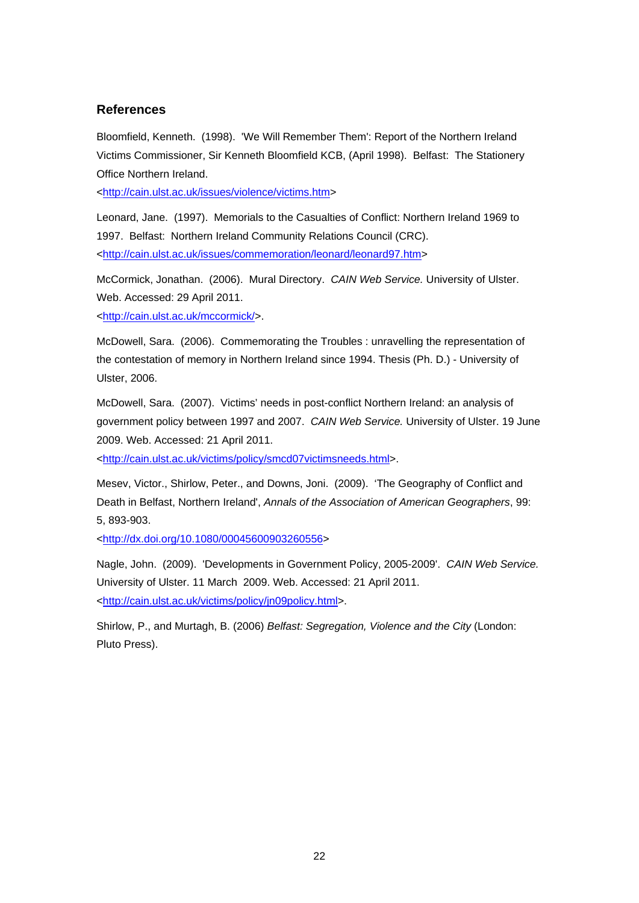### **References**

Bloomfield, Kenneth. (1998). 'We Will Remember Them': Report of the Northern Ireland Victims Commissioner, Sir Kenneth Bloomfield KCB, (April 1998). Belfast: The Stationery Office Northern Ireland.

<[http://cain.ulst.ac.uk/issues/violence/victims.htm>](http://cain.ulst.ac.uk/issues/violence/victims.htm)

Leonard, Jane. (1997). Memorials to the Casualties of Conflict: Northern Ireland 1969 to 1997. Belfast: Northern Ireland Community Relations Council (CRC). <[http://cain.ulst.ac.uk/issues/commemoration/leonard/leonard97.htm>](http://cain.ulst.ac.uk/issues/commemoration/leonard/leonard97.htm)

McCormick, Jonathan. (2006). Mural Directory. *CAIN Web Service.* University of Ulster. Web. Accessed: 29 April 2011.

<[http://cain.ulst.ac.uk/mccormick/>](http://cain.ulst.ac.uk/mccormick/).

McDowell, Sara. (2006). Commemorating the Troubles : unravelling the representation of the contestation of memory in Northern Ireland since 1994. Thesis (Ph. D.) - University of Ulster, 2006.

McDowell, Sara. (2007). Victims' needs in post-conflict Northern Ireland: an analysis of government policy between 1997 and 2007. *CAIN Web Service.* University of Ulster. 19 June 2009. Web. Accessed: 21 April 2011.

<<http://cain.ulst.ac.uk/victims/policy/smcd07victimsneeds.html>>.

Mesev, Victor., Shirlow, Peter., and Downs, Joni. (2009). 'The Geography of Conflict and Death in Belfast, Northern Ireland', *Annals of the Association of American Geographers*, 99: 5, 893-903.

<<http://dx.doi.org/10.1080/00045600903260556>>

Nagle, John. (2009). 'Developments in Government Policy, 2005-2009'. *CAIN Web Service.* University of Ulster. 11 March 2009. Web. Accessed: 21 April 2011. <[http://cain.ulst.ac.uk/victims/policy/jn09policy.html>](http://cain.ulst.ac.uk/victims/policy/jn09policy.html).

Shirlow, P., and Murtagh, B. (2006) *Belfast: Segregation, Violence and the City* (London: Pluto Press).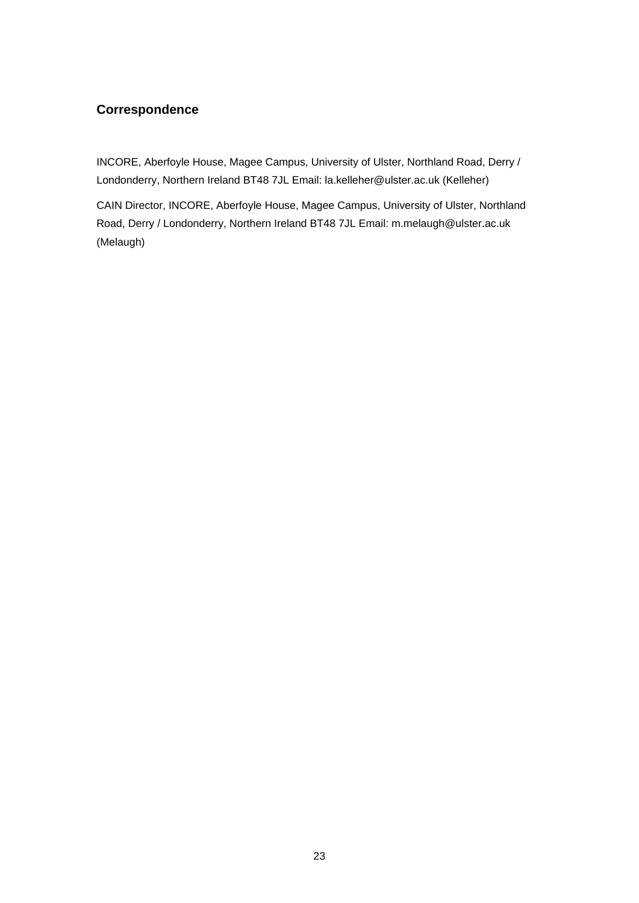# **Correspondence**

INCORE, Aberfoyle House, Magee Campus, University of Ulster, Northland Road, Derry / Londonderry, Northern Ireland BT48 7JL Email: la.kelleher@ulster.ac.uk (Kelleher)

CAIN Director, INCORE, Aberfoyle House, Magee Campus, University of Ulster, Northland Road, Derry / Londonderry, Northern Ireland BT48 7JL Email: m.melaugh@ulster.ac.uk (Melaugh)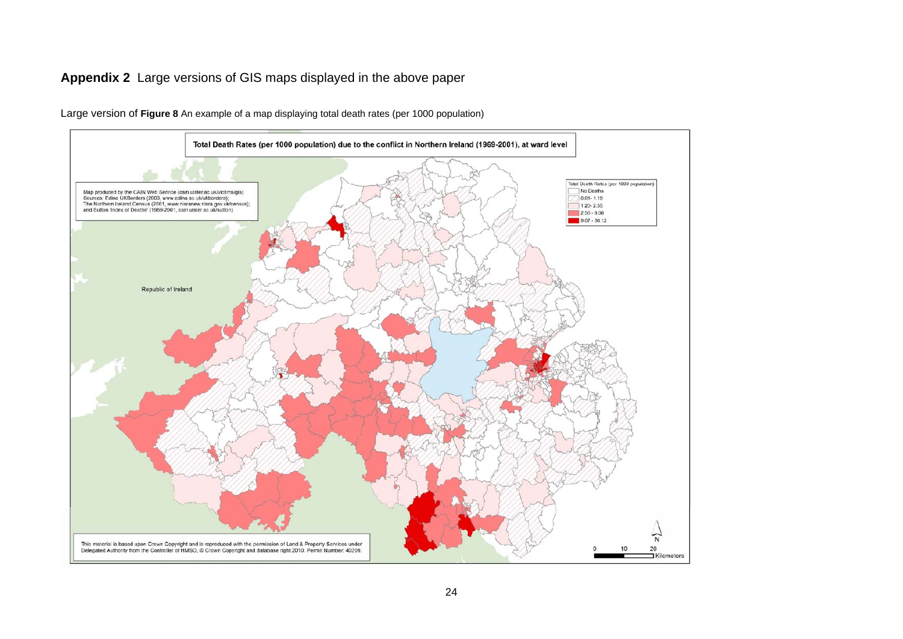# **Appendix 2** Large versions of GIS maps displayed in the above paper



Large version of **Figure 8** An example of a map displaying total death rates (per 1000 population)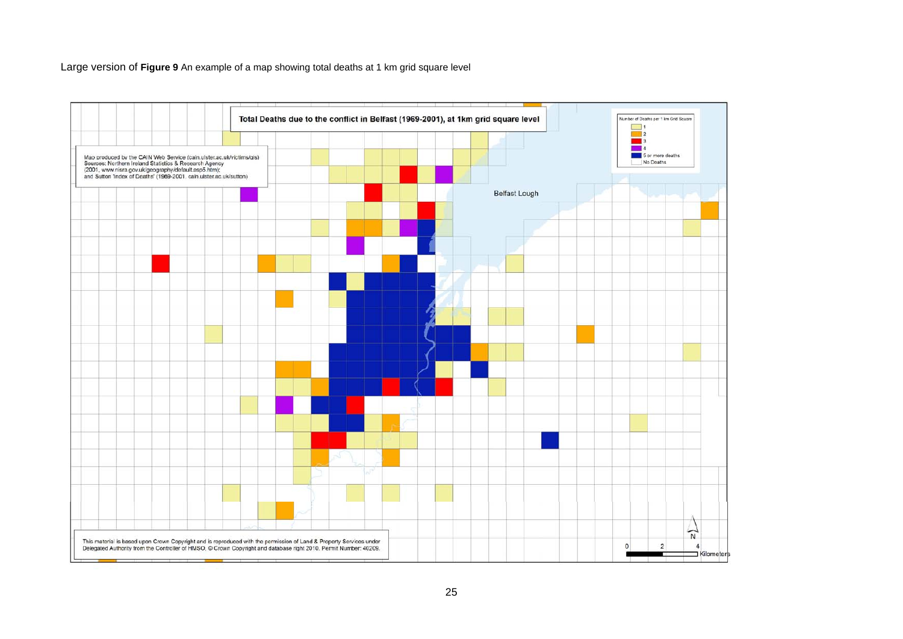Large version of **Figure 9** An example of a map showing total deaths at 1 km grid square level

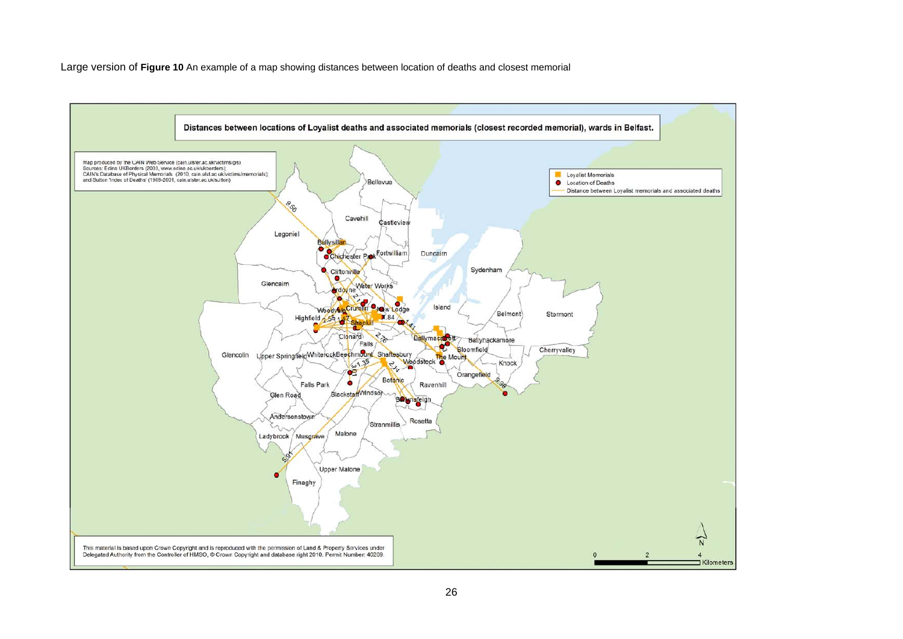Large version of **Figure 10** An example of a map showing distances between location of deaths and closest memorial

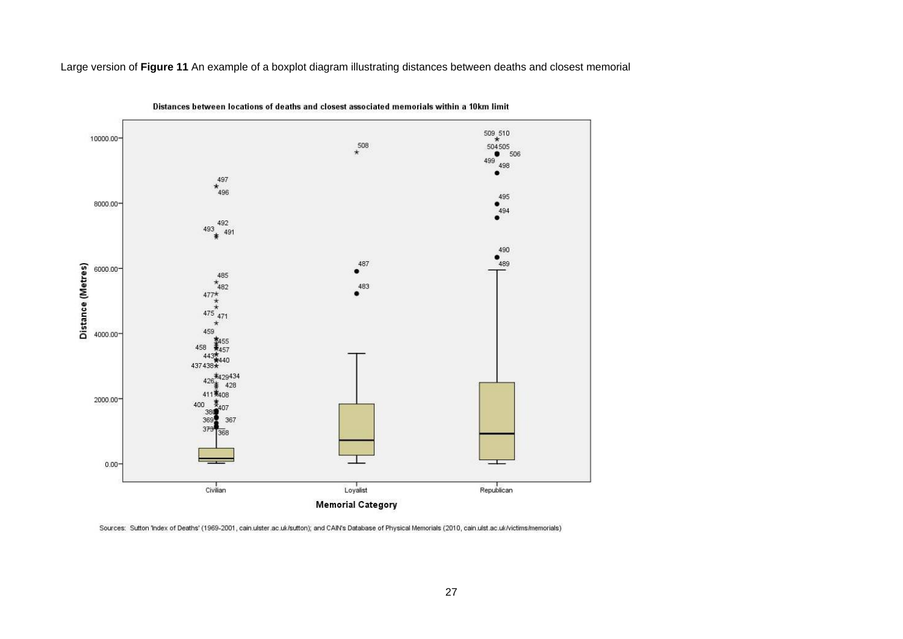Large version of **Figure 11** An example of a boxplot diagram illustrating distances between deaths and closest memorial



Distances between locations of deaths and closest associated memorials within a 10km limit

Sources: Sutton 'Index of Deaths' (1969-2001, cain ulster ac uk/sutton); and CAIN's Database of Physical Memorials (2010, cain ulst ac uk/victims/memorials)